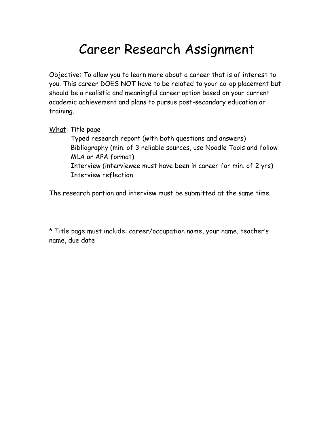# Career Research Assignment

Objective: To allow you to learn more about a career that is of interest to you. This career DOES NOT have to be related to your co-op placement but should be a realistic and meaningful career option based on your current academic achievement and plans to pursue post-secondary education or training.

What: Title page

 Typed research report (with both questions and answers) Bibliography (min. of 3 reliable sources, use Noodle Tools and follow MLA or APA format) Interview (interviewee must have been in career for min. of 2 yrs) Interview reflection

The research portion and interview must be submitted at the same time.

\* Title page must include: career/occupation name, your name, teacher's name, due date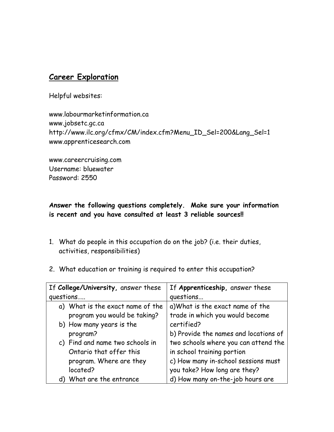## Career Exploration

Helpful websites:

www.labourmarketinformation.ca www.jobsetc.gc.ca http://www.ilc.org/cfmx/CM/index.cfm?Menu\_ID\_Sel=200&Lang\_Sel=1 www.apprenticesearch.com

www.careercruising.com Username: bluewater Password: 2550

## Answer the following questions completely. Make sure your information is recent and you have consulted at least 3 reliable sources!!

- 1. What do people in this occupation do on the job? (i.e. their duties, activities, responsibilities)
- 2. What education or training is required to enter this occupation?

| If College/University, answer these | If Apprenticeship, answer these       |
|-------------------------------------|---------------------------------------|
| questions                           | questions                             |
| a) What is the exact name of the    | a) What is the exact name of the      |
| program you would be taking?        | trade in which you would become       |
| b) How many years is the            | certified?                            |
| program?                            | b) Provide the names and locations of |
| c) Find and name two schools in     | two schools where you can attend the  |
| Ontario that offer this             | in school training portion            |
| program. Where are they             | c) How many in-school sessions must   |
| located?                            | you take? How long are they?          |
| d) What are the entrance            | d) How many on-the-job hours are      |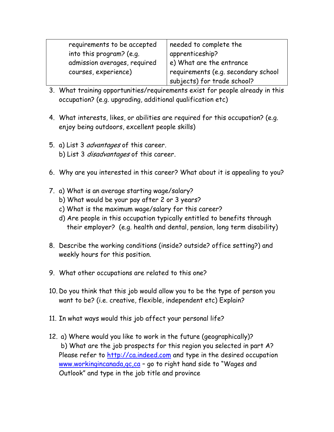| requirements to be accepted  | needed to complete the              |
|------------------------------|-------------------------------------|
| into this program? (e.g.     | apprenticeship?                     |
| admission averages, required | e) What are the entrance            |
| courses, experience)         | requirements (e.g. secondary school |
|                              | subjects) for trade school?         |

- 3. What training opportunities/requirements exist for people already in this occupation? (e.g. upgrading, additional qualification etc)
- 4. What interests, likes, or abilities are required for this occupation? (e.g. enjoy being outdoors, excellent people skills)
- 5. a) List 3 *advantages* of this career. b) List 3 *disadvantages* of this career.
- 6. Why are you interested in this career? What about it is appealing to you?
- 7. a) What is an average starting wage/salary? b) What would be your pay after 2 or 3 years?
	- c) What is the maximum wage/salary for this career?
	- d) Are people in this occupation typically entitled to benefits through their employer? (e.g. health and dental, pension, long term disability)
- 8. Describe the working conditions (inside? outside? office setting?) and weekly hours for this position.
- 9. What other occupations are related to this one?
- 10. Do you think that this job would allow you to be the type of person you want to be? (i.e. creative, flexible, independent etc) Explain?
- 11. In what ways would this job affect your personal life?
- 12. a) Where would you like to work in the future (geographically)? b) What are the job prospects for this region you selected in part A? Please refer to http://ca.indeed.com and type in the desired occupation www.workingincanada, gc, ca - go to right hand side to "Wages and Outlook" and type in the job title and province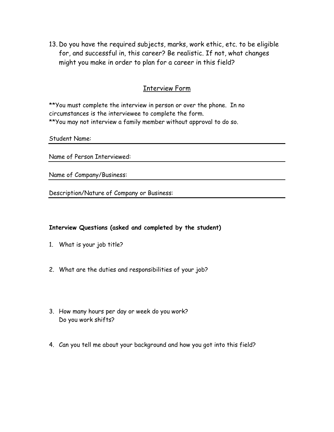13. Do you have the required subjects, marks, work ethic, etc. to be eligible for, and successful in, this career? Be realistic. If not, what changes might you make in order to plan for a career in this field?

#### Interview Form

\*\*You must complete the interview in person or over the phone. In no circumstances is the interviewee to complete the form. \*\*You may not interview a family member without approval to do so.

Student Name:

Name of Person Interviewed:

Name of Company/Business:

Description/Nature of Company or Business:

#### Interview Questions (asked and completed by the student)

- 1. What is your job title?
- 2. What are the duties and responsibilities of your job?
- 3. How many hours per day or week do you work? Do you work shifts?
- 4. Can you tell me about your background and how you got into this field?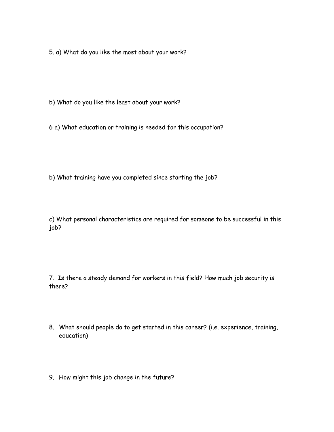5. a) What do you like the most about your work?

b) What do you like the least about your work?

6 a) What education or training is needed for this occupation?

b) What training have you completed since starting the job?

c) What personal characteristics are required for someone to be successful in this job?

7. Is there a steady demand for workers in this field? How much job security is there?

- 8. What should people do to get started in this career? (i.e. experience, training, education)
- 9. How might this job change in the future?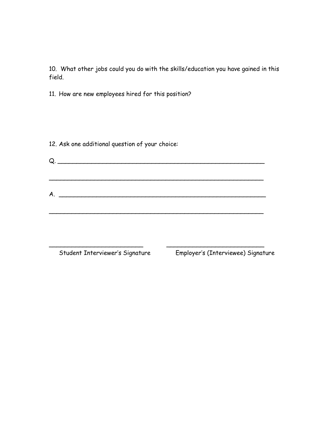10. What other jobs could you do with the skills/education you have gained in this field.

11. How are new employees hired for this position?

12. Ask one additional question of your choice:

 $Q.$   $\overline{Q}$ .  $\overline{Q}$   $\overline{Q}$   $\overline{Q}$   $\overline{Q}$   $\overline{Q}$   $\overline{Q}$   $\overline{Q}$   $\overline{Q}$   $\overline{Q}$   $\overline{Q}$   $\overline{Q}$   $\overline{Q}$   $\overline{Q}$   $\overline{Q}$   $\overline{Q}$   $\overline{Q}$   $\overline{Q}$   $\overline{Q}$   $\overline{Q}$   $\overline{Q}$   $\overline{Q}$   $\overline{Q}$   $\overline{Q}$ \_\_\_\_\_\_\_\_\_\_\_\_\_\_\_\_\_\_\_\_\_\_\_\_\_\_\_\_\_\_\_\_\_\_\_\_\_\_\_\_\_\_\_\_\_\_\_\_\_\_\_\_\_\_\_\_\_  $A.$ \_\_\_\_\_\_\_\_\_\_\_\_\_\_\_\_\_\_\_\_\_\_\_\_\_\_\_\_\_\_\_\_\_\_\_\_\_\_\_\_\_\_\_\_\_\_\_\_\_\_\_\_\_\_\_\_\_

\_\_\_\_\_\_\_\_\_\_\_\_\_\_\_\_\_\_\_\_\_\_\_\_\_ \_\_\_\_\_\_\_\_\_\_\_\_\_\_\_\_\_\_\_\_\_\_\_\_\_\_

Student Interviewer's Signature Employer's (Interviewee) Signature